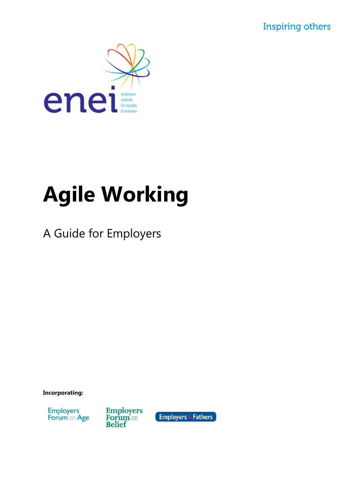**Inspiring others** 



# **Agile Working**

A Guide for Employers

**Incorporating:**



**Employers**<br>**Forum** on **Belief** 

**Employers 4 Fathers**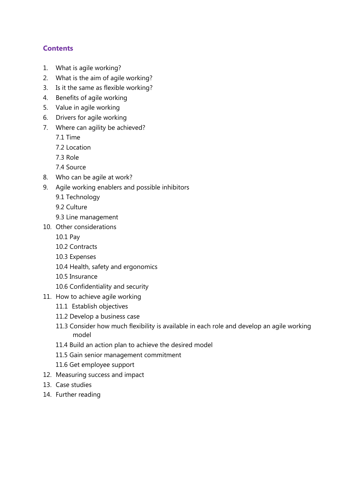# **Contents**

- 1. What is agile working?
- 2. What is the aim of agile working?
- 3. Is it the same as flexible working?
- 4. Benefits of agile working
- 5. Value in agile working
- 6. Drivers for agile working
- 7. Where can agility be achieved?
	- 7.1 Time
	- 7.2 Location
	- 7.3 Role
	- 7.4 Source
- 8. Who can be agile at work?
- 9. Agile working enablers and possible inhibitors
	- 9.1 Technology
	- 9.2 Culture
	- 9.3 Line management
- 10. Other considerations
	- 10.1 Pay
	- 10.2 Contracts
	- 10.3 Expenses
	- 10.4 Health, safety and ergonomics
	- 10.5 Insurance
	- 10.6 Confidentiality and security
- 11. How to achieve agile working
	- 11.1 Establish objectives
	- 11.2 Develop a business case
	- 11.3 Consider how much flexibility is available in each role and develop an agile working model
	- 11.4 Build an action plan to achieve the desired model
	- 11.5 Gain senior management commitment
	- 11.6 Get employee support
- 12. Measuring success and impact
- 13. Case studies
- 14. Further reading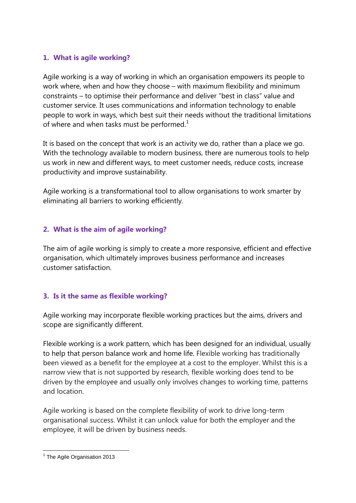# **1. What is agile working?**

Agile working is a way of working in which an organisation empowers its people to work where, when and how they choose – with maximum flexibility and minimum constraints – to optimise their performance and deliver "best in class" value and customer service. It uses communications and information technology to enable people to work in ways, which best suit their needs without the traditional limitations of where and when tasks must be performed.<sup>[1](#page-2-0)</sup>

It is based on the concept that work is an activity we do, rather than a place we go. With the technology available to modern business, there are numerous tools to help us work in new and different ways, to meet customer needs, reduce costs, increase productivity and improve sustainability.

Agile working is a transformational tool to allow organisations to work smarter by eliminating all barriers to working efficiently.

# **2. What is the aim of agile working?**

The aim of agile working is simply to create a more responsive, efficient and effective organisation, which ultimately improves business performance and increases customer satisfaction.

# **3. Is it the same as flexible working?**

Agile working may incorporate flexible working practices but the aims, drivers and scope are significantly different.

Flexible working is a work pattern, which has been designed for an individual, usually to help that person balance work and home life. Flexible working has traditionally been viewed as a benefit for the employee at a cost to the employer. Whilst this is a narrow view that is not supported by research, flexible working does tend to be driven by the employee and usually only involves changes to working time, patterns and location.

Agile working is based on the complete flexibility of work to drive long-term organisational success. Whilst it can unlock value for both the employer and the employee, it will be driven by business needs.

<span id="page-2-0"></span><sup>&</sup>lt;sup>1</sup> The Agile Organisation 2013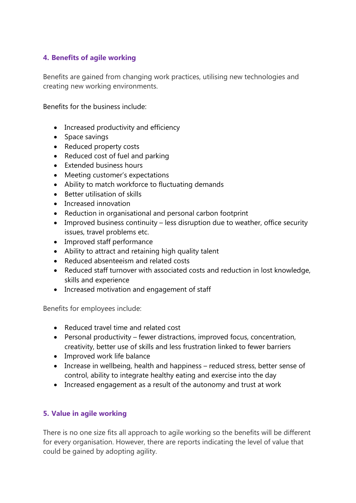# **4. Benefits of agile working**

Benefits are gained from changing work practices, utilising new technologies and creating new working environments.

Benefits for the business include:

- Increased productivity and efficiency
- Space savings
- Reduced property costs
- Reduced cost of fuel and parking
- Extended business hours
- Meeting customer's expectations
- Ability to match workforce to fluctuating demands
- Better utilisation of skills
- Increased innovation
- Reduction in organisational and personal carbon footprint
- Improved business continuity less disruption due to weather, office security issues, travel problems etc.
- Improved staff performance
- Ability to attract and retaining high quality talent
- Reduced absenteeism and related costs
- Reduced staff turnover with associated costs and reduction in lost knowledge, skills and experience
- Increased motivation and engagement of staff

Benefits for employees include:

- Reduced travel time and related cost
- Personal productivity fewer distractions, improved focus, concentration, creativity, better use of skills and less frustration linked to fewer barriers
- Improved work life balance
- Increase in wellbeing, health and happiness reduced stress, better sense of control, ability to integrate healthy eating and exercise into the day
- Increased engagement as a result of the autonomy and trust at work

#### **5. Value in agile working**

There is no one size fits all approach to agile working so the benefits will be different for every organisation. However, there are reports indicating the level of value that could be gained by adopting agility.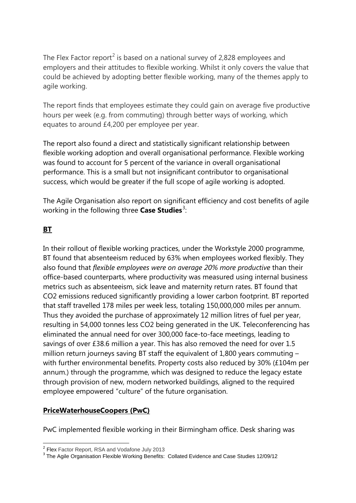The Flex Factor report<sup>[2](#page-4-0)</sup> is based on a national survey of 2,828 employees and employers and their attitudes to flexible working. Whilst it only covers the value that could be achieved by adopting better flexible working, many of the themes apply to agile working.

The report finds that employees estimate they could gain on average five productive hours per week (e.g. from commuting) through better ways of working, which equates to around £4,200 per employee per year.

The report also found a direct and statistically significant relationship between flexible working adoption and overall organisational performance. Flexible working was found to account for 5 percent of the variance in overall organisational performance. This is a small but not insignificant contributor to organisational success, which would be greater if the full scope of agile working is adopted.

The Agile Organisation also report on significant efficiency and cost benefits of agile working in the following three **Case Studies**[3](#page-4-1) :

# **BT**

In their rollout of flexible working practices, under the Workstyle 2000 programme, BT found that absenteeism reduced by 63% when employees worked flexibly. They also found that *flexible employees were on average 20% more productive* than their office-based counterparts, where productivity was measured using internal business metrics such as absenteeism, sick leave and maternity return rates. BT found that CO2 emissions reduced significantly providing a lower carbon footprint. BT reported that staff travelled 178 miles per week less, totaling 150,000,000 miles per annum. Thus they avoided the purchase of approximately 12 million litres of fuel per year, resulting in 54,000 tonnes less CO2 being generated in the UK. Teleconferencing has eliminated the annual need for over 300,000 face-to-face meetings, leading to savings of over £38.6 million a year. This has also removed the need for over 1.5 million return journeys saving BT staff the equivalent of 1,800 years commuting – with further environmental benefits. Property costs also reduced by 30% (£104m per annum.) through the programme, which was designed to reduce the legacy estate through provision of new, modern networked buildings, aligned to the required employee empowered "culture" of the future organisation.

#### **PriceWaterhouseCoopers (PwC)**

PwC implemented flexible working in their Birmingham office. Desk sharing was

<span id="page-4-1"></span><span id="page-4-0"></span><sup>&</sup>lt;sup>2</sup> Flex Factor Report, RSA and Vodafone July 2013<br> $3$  The Agile Organisation Flexible Working Benefits: Collated Evidence and Case Studies 12/09/12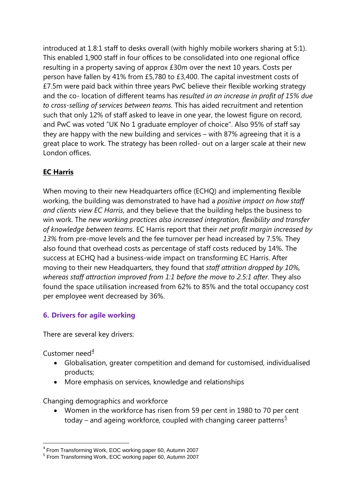introduced at 1.8:1 staff to desks overall (with highly mobile workers sharing at 5:1). This enabled 1,900 staff in four offices to be consolidated into one regional office resulting in a property saving of approx £30m over the next 10 years. Costs per person have fallen by 41% from £5,780 to £3,400. The capital investment costs of £7.5m were paid back within three years PwC believe their flexible working strategy and the co- location of different teams has *resulted in an increase in profit of 15% due to cross-selling of services between teams*. This has aided recruitment and retention such that only 12% of staff asked to leave in one year, the lowest figure on record, and PwC was voted "UK No 1 graduate employer of choice". Also 95% of staff say they are happy with the new building and services – with 87% agreeing that it is a great place to work. The strategy has been rolled- out on a larger scale at their new London offices.

# **EC Harris**

When moving to their new Headquarters office (ECHQ) and implementing flexible working, the building was demonstrated to have had a *positive impact on how staff and clients view EC Harris*, and they believe that the building helps the business to win work. The *new working practices also increased integration, flexibility and transfer of knowledge between teams*. EC Harris report that their *net profit margin increased by 13%* from pre-move levels and the fee turnover per head increased by 7.5%. They also found that overhead costs as percentage of staff costs reduced by 14%. The success at ECHQ had a business-wide impact on transforming EC Harris. After moving to their new Headquarters, they found that *staff attrition dropped by 10%, whereas staff attraction improved from 1:1 before the move to 2.5:1 after*. They also found the space utilisation increased from 62% to 85% and the total occupancy cost per employee went decreased by 36%.

# **6. Drivers for agile working**

There are several key drivers:

Customer need $\frac{4}{3}$  $\frac{4}{3}$  $\frac{4}{3}$ 

- Globalisation, greater competition and demand for customised, individualised products;
- More emphasis on services, knowledge and relationships

Changing demographics and workforce

• Women in the workforce has risen from 59 per cent in 1980 to 70 per cent today – and ageing workforce, coupled with changing career patterns<sup>[5](#page-5-1)</sup>

<sup>4</sup> From Transforming Work, EOC working paper 60, Autumn 2007

<span id="page-5-1"></span><span id="page-5-0"></span><sup>5</sup> From Transforming Work, EOC working paper 60, Autumn 2007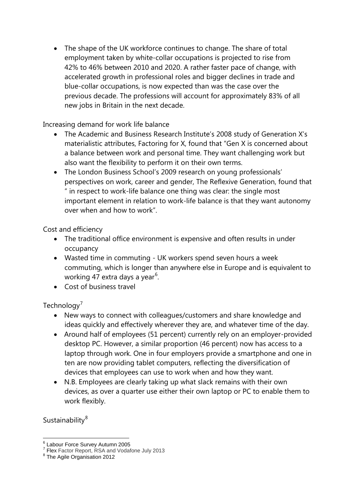The shape of the UK workforce continues to change. The share of total employment taken by white-collar occupations is projected to rise from 42% to 46% between 2010 and 2020. A rather faster pace of change, with accelerated growth in professional roles and bigger declines in trade and blue-collar occupations, is now expected than was the case over the previous decade. The professions will account for approximately 83% of all new jobs in Britain in the next decade.

Increasing demand for work life balance

- The Academic and Business Research Institute's 2008 study of Generation X's materialistic attributes, Factoring for X, found that "Gen X is concerned about a balance between work and personal time. They want challenging work but also want the flexibility to perform it on their own terms.
- The London Business School's 2009 research on young professionals' perspectives on work, career and gender, The Reflexive Generation, found that " in respect to work-life balance one thing was clear: the single most important element in relation to work-life balance is that they want autonomy over when and how to work".

Cost and efficiency

- The traditional office environment is expensive and often results in under occupancy
- Wasted time in commuting UK workers spend seven hours a week commuting, which is longer than anywhere else in Europe and is equivalent to working 47 extra days a year<sup>[6](#page-6-0)</sup>.
- Cost of business travel

# Technology<sup>'</sup>

- New ways to connect with colleagues/customers and share knowledge and ideas quickly and effectively wherever they are, and whatever time of the day.
- Around half of employees (51 percent) currently rely on an employer-provided desktop PC. However, a similar proportion (46 percent) now has access to a laptop through work. One in four employers provide a smartphone and one in ten are now providing tablet computers, reflecting the diversification of devices that employees can use to work when and how they want.
- N.B. Employees are clearly taking up what slack remains with their own devices, as over a quarter use either their own laptop or PC to enable them to work flexibly.

Sustainability<sup>[8](#page-6-2)</sup>

<span id="page-6-1"></span><span id="page-6-0"></span><sup>&</sup>lt;sup>6</sup> Labour Force Survey Autumn 2005<br>
<sup>7</sup> Flex Factor Report, RSA and Vodafone July 2013<br>
<sup>8</sup> The Agile Organisation 2012

<span id="page-6-2"></span>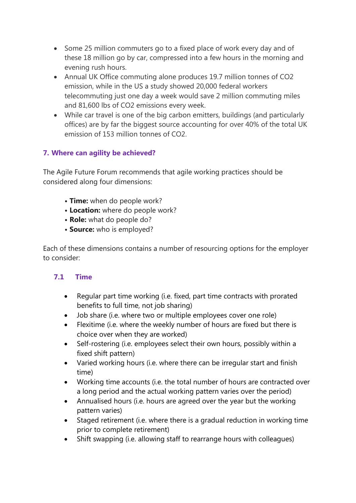- Some 25 million commuters go to a fixed place of work every day and of these 18 million go by car, compressed into a few hours in the morning and evening rush hours.
- Annual UK Office commuting alone produces 19.7 million tonnes of CO2 emission, while in the US a study showed 20,000 federal workers telecommuting just one day a week would save 2 million commuting miles and 81,600 lbs of CO2 emissions every week.
- While car travel is one of the big carbon emitters, buildings (and particularly offices) are by far the biggest source accounting for over 40% of the total UK emission of 153 million tonnes of CO2.

# **7. Where can agility be achieved?**

The Agile Future Forum recommends that agile working practices should be considered along four dimensions:

- **Time:** when do people work?
- **Location:** where do people work?
- **Role:** what do people do?
- **Source:** who is employed?

Each of these dimensions contains a number of resourcing options for the employer to consider:

# **7.1 Time**

- Regular part time working (i.e. fixed, part time contracts with prorated benefits to full time, not job sharing)
- Job share (i.e. where two or multiple employees cover one role)
- Flexitime (i.e. where the weekly number of hours are fixed but there is choice over when they are worked)
- Self-rostering (i.e. employees select their own hours, possibly within a fixed shift pattern)
- Varied working hours (i.e. where there can be irregular start and finish time)
- Working time accounts (i.e. the total number of hours are contracted over a long period and the actual working pattern varies over the period)
- Annualised hours (i.e. hours are agreed over the year but the working pattern varies)
- Staged retirement (i.e. where there is a gradual reduction in working time prior to complete retirement)
- Shift swapping (i.e. allowing staff to rearrange hours with colleagues)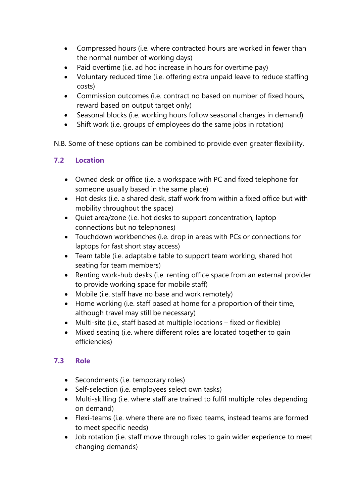- Compressed hours (i.e. where contracted hours are worked in fewer than the normal number of working days)
- Paid overtime (i.e. ad hoc increase in hours for overtime pay)
- Voluntary reduced time (i.e. offering extra unpaid leave to reduce staffing costs)
- Commission outcomes (i.e. contract no based on number of fixed hours, reward based on output target only)
- Seasonal blocks (i.e. working hours follow seasonal changes in demand)
- Shift work (i.e. groups of employees do the same jobs in rotation)

N.B. Some of these options can be combined to provide even greater flexibility.

# **7.2 Location**

- Owned desk or office (i.e. a workspace with PC and fixed telephone for someone usually based in the same place)
- Hot desks (i.e. a shared desk, staff work from within a fixed office but with mobility throughout the space)
- Quiet area/zone (i.e. hot desks to support concentration, laptop connections but no telephones)
- Touchdown workbenches (i.e. drop in areas with PCs or connections for laptops for fast short stay access)
- Team table (i.e. adaptable table to support team working, shared hot seating for team members)
- Renting work-hub desks (i.e. renting office space from an external provider to provide working space for mobile staff)
- Mobile (i.e. staff have no base and work remotely)
- Home working (i.e. staff based at home for a proportion of their time, although travel may still be necessary)
- Multi-site (i.e., staff based at multiple locations fixed or flexible)
- Mixed seating (i.e. where different roles are located together to gain efficiencies)

# **7.3 Role**

- Secondments (i.e. temporary roles)
- Self-selection (i.e. employees select own tasks)
- Multi-skilling (i.e. where staff are trained to fulfil multiple roles depending on demand)
- Flexi-teams (i.e. where there are no fixed teams, instead teams are formed to meet specific needs)
- Job rotation (i.e. staff move through roles to gain wider experience to meet changing demands)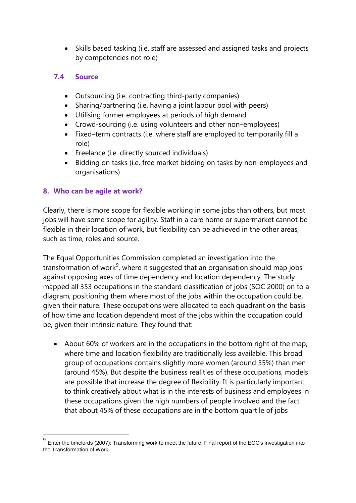• Skills based tasking (i.e. staff are assessed and assigned tasks and projects by competencies not role)

#### **7.4 Source**

- Outsourcing (i.e. contracting third-party companies)
- Sharing/partnering (i.e. having a joint labour pool with peers)
- Utilising former employees at periods of high demand
- Crowd-sourcing (i.e. using volunteers and other non–employees)
- Fixed–term contracts (i.e. where staff are employed to temporarily fill a role)
- Freelance (i.e. directly sourced individuals)
- Bidding on tasks (i.e. free market bidding on tasks by non-employees and organisations)

# **8. Who can be agile at work?**

Clearly, there is more scope for flexible working in some jobs than others, but most jobs will have some scope for agility. Staff in a care home or supermarket cannot be flexible in their location of work, but flexibility can be achieved in the other areas, such as time, roles and source.

The Equal Opportunities Commission completed an investigation into the transformation of work $9^9$  $9^9$ , where it suggested that an organisation should map jobs against opposing axes of time dependency and location dependency. The study mapped all 353 occupations in the standard classification of jobs (SOC 2000) on to a diagram, positioning them where most of the jobs within the occupation could be, given their nature. These occupations were allocated to each quadrant on the basis of how time and location dependent most of the jobs within the occupation could be, given their intrinsic nature. They found that:

• About 60% of workers are in the occupations in the bottom right of the map, where time and location flexibility are traditionally less available. This broad group of occupations contains slightly more women (around 55%) than men (around 45%). But despite the business realities of these occupations, models are possible that increase the degree of flexibility. It is particularly important to think creatively about what is in the interests of business and employees in these occupations given the high numbers of people involved and the fact that about 45% of these occupations are in the bottom quartile of jobs

<span id="page-9-0"></span> $9$  Enter the timelords (2007): Transforming work to meet the future. Final report of the EOC's investigation into the Transformation of Work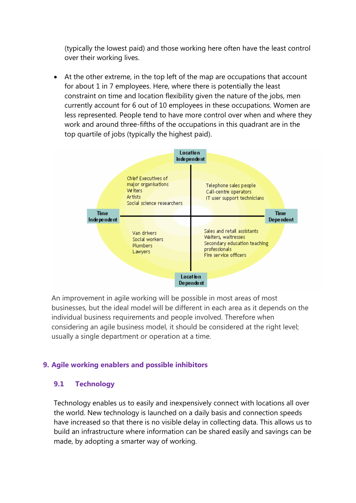(typically the lowest paid) and those working here often have the least control over their working lives.

• At the other extreme, in the top left of the map are occupations that account for about 1 in 7 employees. Here, where there is potentially the least constraint on time and location flexibility given the nature of the jobs, men currently account for 6 out of 10 employees in these occupations. Women are less represented. People tend to have more control over when and where they work and around three-fifths of the occupations in this quadrant are in the top quartile of jobs (typically the highest paid).



An improvement in agile working will be possible in most areas of most businesses, but the ideal model will be different in each area as it depends on the individual business requirements and people involved. Therefore when considering an agile business model, it should be considered at the right level; usually a single department or operation at a time.

#### **9. Agile working enablers and possible inhibitors**

#### **9.1 Technology**

Technology enables us to easily and inexpensively connect with locations all over the world. New technology is launched on a daily basis and connection speeds have increased so that there is no visible delay in collecting data. This allows us to build an infrastructure where information can be shared easily and savings can be made, by adopting a smarter way of working.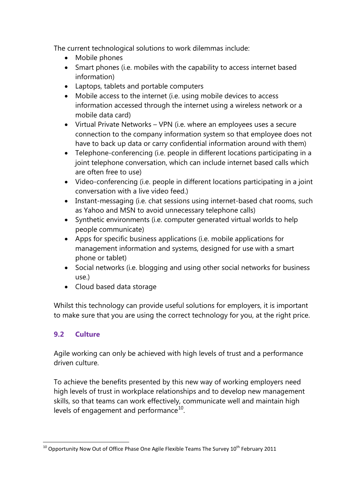The current technological solutions to work dilemmas include:

- Mobile phones
- Smart phones (i.e. mobiles with the capability to access internet based information)
- Laptops, tablets and portable computers
- Mobile access to the internet (i.e. using mobile devices to access information accessed through the internet using a wireless network or a mobile data card)
- Virtual Private Networks VPN (i.e. where an employees uses a secure connection to the company information system so that employee does not have to back up data or carry confidential information around with them)
- Telephone-conferencing (i.e. people in different locations participating in a joint telephone conversation, which can include internet based calls which are often free to use)
- Video-conferencing (i.e. people in different locations participating in a joint conversation with a live video feed.)
- Instant-messaging (i.e. chat sessions using internet-based chat rooms, such as Yahoo and MSN to avoid unnecessary telephone calls)
- Synthetic environments (i.e. computer generated virtual worlds to help people communicate)
- Apps for specific business applications (i.e. mobile applications for management information and systems, designed for use with a smart phone or tablet)
- Social networks (i.e. blogging and using other social networks for business use.)
- Cloud based data storage

Whilst this technology can provide useful solutions for employers, it is important to make sure that you are using the correct technology for you, at the right price.

# **9.2 Culture**

Agile working can only be achieved with high levels of trust and a performance driven culture.

To achieve the benefits presented by this new way of working employers need high levels of trust in workplace relationships and to develop new management skills, so that teams can work effectively, communicate well and maintain high levels of engagement and performance $10$ .

<span id="page-11-0"></span> $10$  Opportunity Now Out of Office Phase One Agile Flexible Teams The Survey  $10^{th}$  February 2011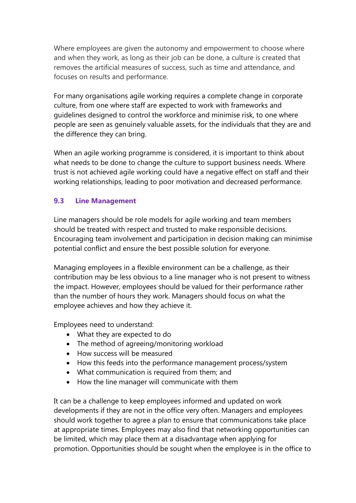Where employees are given the autonomy and empowerment to choose where and when they work, as long as their job can be done, a culture is created that removes the artificial measures of success, such as time and attendance, and focuses on results and performance.

For many organisations agile working requires a complete change in corporate culture, from one where staff are expected to work with frameworks and guidelines designed to control the workforce and minimise risk, to one where people are seen as genuinely valuable assets, for the individuals that they are and the difference they can bring.

When an agile working programme is considered, it is important to think about what needs to be done to change the culture to support business needs. Where trust is not achieved agile working could have a negative effect on staff and their working relationships, leading to poor motivation and decreased performance.

# **9.3 Line Management**

Line managers should be role models for agile working and team members should be treated with respect and trusted to make responsible decisions. Encouraging team involvement and participation in decision making can minimise potential conflict and ensure the best possible solution for everyone.

Managing employees in a flexible environment can be a challenge, as their contribution may be less obvious to a line manager who is not present to witness the impact. However, employees should be valued for their performance rather than the number of hours they work. Managers should focus on what the employee achieves and how they achieve it.

Employees need to understand:

- What they are expected to do
- The method of agreeing/monitoring workload
- How success will be measured
- How this feeds into the performance management process/system
- What communication is required from them; and
- How the line manager will communicate with them

It can be a challenge to keep employees informed and updated on work developments if they are not in the office very often. Managers and employees should work together to agree a plan to ensure that communications take place at appropriate times. Employees may also find that networking opportunities can be limited, which may place them at a disadvantage when applying for promotion. Opportunities should be sought when the employee is in the office to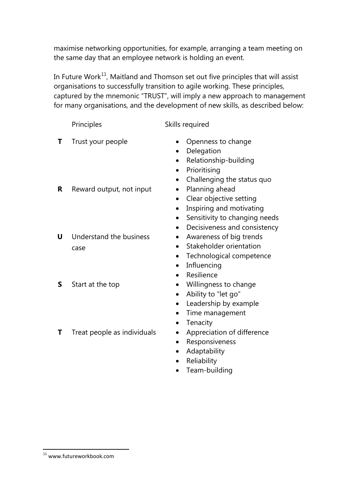maximise networking opportunities, for example, arranging a team meeting on the same day that an employee network is holding an event.

In Future Work<sup>[11](#page-13-0)</sup>, Maitland and Thomson set out five principles that will assist organisations to successfully transition to agile working. These principles, captured by the mnemonic "TRUST", will imply a new approach to management for many organisations, and the development of new skills, as described below:

|   | Principles                      | Skills required                                                                                                                                   |
|---|---------------------------------|---------------------------------------------------------------------------------------------------------------------------------------------------|
| т | Trust your people               | Openness to change<br>Delegation<br>Relationship-building<br>Prioritising                                                                         |
| R | Reward output, not input        | Challenging the status quo<br>Planning ahead<br>$\bullet$<br>Clear objective setting<br>Inspiring and motivating<br>Sensitivity to changing needs |
| U | Understand the business<br>case | Decisiveness and consistency<br>Awareness of big trends<br>Stakeholder orientation<br>Technological competence<br>$\bullet$<br>Influencing        |
| S | Start at the top                | Resilience<br>Willingness to change<br>Ability to "let go"<br>Leadership by example                                                               |
| т | Treat people as individuals     | Time management<br>Tenacity<br>Appreciation of difference                                                                                         |

- Responsiveness
- Adaptability
- Reliability
- Team-building

<span id="page-13-0"></span><sup>11</sup> www.futureworkbook.com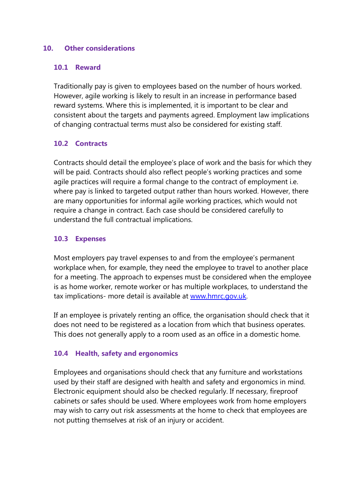#### **10. Other considerations**

#### **10.1 Reward**

Traditionally pay is given to employees based on the number of hours worked. However, agile working is likely to result in an increase in performance based reward systems. Where this is implemented, it is important to be clear and consistent about the targets and payments agreed. Employment law implications of changing contractual terms must also be considered for existing staff.

#### **10.2 Contracts**

Contracts should detail the employee's place of work and the basis for which they will be paid. Contracts should also reflect people's working practices and some agile practices will require a formal change to the contract of employment i.e. where pay is linked to targeted output rather than hours worked. However, there are many opportunities for informal agile working practices, which would not require a change in contract. Each case should be considered carefully to understand the full contractual implications.

#### **10.3 Expenses**

Most employers pay travel expenses to and from the employee's permanent workplace when, for example, they need the employee to travel to another place for a meeting. The approach to expenses must be considered when the employee is as home worker, remote worker or has multiple workplaces, to understand the tax implications- more detail is available at [www.hmrc.gov.uk.](http://www.hmrc.gov.uk/)

If an employee is privately renting an office, the organisation should check that it does not need to be registered as a location from which that business operates. This does not generally apply to a room used as an office in a domestic home.

#### **10.4 Health, safety and ergonomics**

Employees and organisations should check that any furniture and workstations used by their staff are designed with health and safety and ergonomics in mind. Electronic equipment should also be checked regularly. If necessary, fireproof cabinets or safes should be used. Where employees work from home employers may wish to carry out risk assessments at the home to check that employees are not putting themselves at risk of an injury or accident.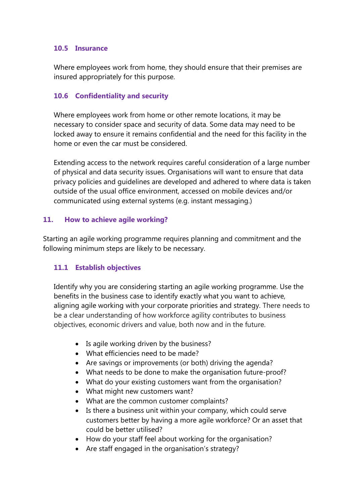#### **10.5 Insurance**

Where employees work from home, they should ensure that their premises are insured appropriately for this purpose.

# **10.6 Confidentiality and security**

Where employees work from home or other remote locations, it may be necessary to consider space and security of data. Some data may need to be locked away to ensure it remains confidential and the need for this facility in the home or even the car must be considered.

Extending access to the network requires careful consideration of a large number of physical and data security issues. Organisations will want to ensure that data privacy policies and guidelines are developed and adhered to where data is taken outside of the usual office environment, accessed on mobile devices and/or communicated using external systems (e.g. instant messaging.)

#### **11. How to achieve agile working?**

Starting an agile working programme requires planning and commitment and the following minimum steps are likely to be necessary.

# **11.1 Establish objectives**

Identify why you are considering starting an agile working programme. Use the benefits in the business case to identify exactly what you want to achieve, aligning agile working with your corporate priorities and strategy. There needs to be a clear understanding of how workforce agility contributes to business objectives, economic drivers and value, both now and in the future.

- Is agile working driven by the business?
- What efficiencies need to be made?
- Are savings or improvements (or both) driving the agenda?
- What needs to be done to make the organisation future-proof?
- What do your existing customers want from the organisation?
- What might new customers want?
- What are the common customer complaints?
- Is there a business unit within your company, which could serve customers better by having a more agile workforce? Or an asset that could be better utilised?
- How do your staff feel about working for the organisation?
- Are staff engaged in the organisation's strategy?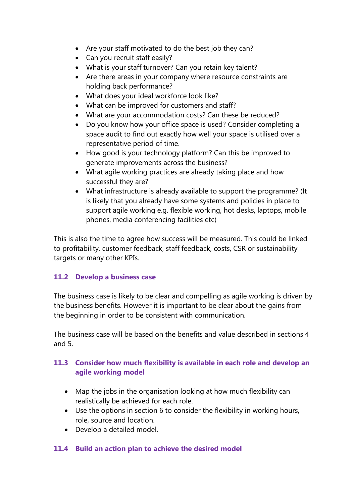- Are your staff motivated to do the best job they can?
- Can you recruit staff easily?
- What is your staff turnover? Can you retain key talent?
- Are there areas in your company where resource constraints are holding back performance?
- What does your ideal workforce look like?
- What can be improved for customers and staff?
- What are your accommodation costs? Can these be reduced?
- Do you know how your office space is used? Consider completing a space audit to find out exactly how well your space is utilised over a representative period of time.
- How good is your technology platform? Can this be improved to generate improvements across the business?
- What agile working practices are already taking place and how successful they are?
- What infrastructure is already available to support the programme? (It is likely that you already have some systems and policies in place to support agile working e.g. flexible working, hot desks, laptops, mobile phones, media conferencing facilities etc)

This is also the time to agree how success will be measured. This could be linked to profitability, customer feedback, staff feedback, costs, CSR or sustainability targets or many other KPIs.

# **11.2 Develop a business case**

The business case is likely to be clear and compelling as agile working is driven by the business benefits. However it is important to be clear about the gains from the beginning in order to be consistent with communication.

The business case will be based on the benefits and value described in sections 4 and 5.

# **11.3 Consider how much flexibility is available in each role and develop an agile working model**

- Map the jobs in the organisation looking at how much flexibility can realistically be achieved for each role.
- Use the options in section 6 to consider the flexibility in working hours, role, source and location.
- Develop a detailed model.

#### **11.4 Build an action plan to achieve the desired model**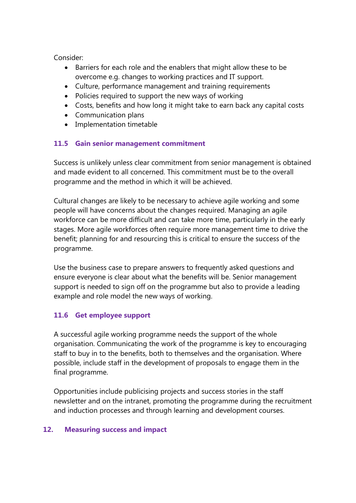Consider:

- Barriers for each role and the enablers that might allow these to be overcome e.g. changes to working practices and IT support.
- Culture, performance management and training requirements
- Policies required to support the new ways of working
- Costs, benefits and how long it might take to earn back any capital costs
- Communication plans
- Implementation timetable

# **11.5 Gain senior management commitment**

Success is unlikely unless clear commitment from senior management is obtained and made evident to all concerned. This commitment must be to the overall programme and the method in which it will be achieved.

Cultural changes are likely to be necessary to achieve agile working and some people will have concerns about the changes required. Managing an agile workforce can be more difficult and can take more time, particularly in the early stages. More agile workforces often require more management time to drive the benefit; planning for and resourcing this is critical to ensure the success of the programme.

Use the business case to prepare answers to frequently asked questions and ensure everyone is clear about what the benefits will be. Senior management support is needed to sign off on the programme but also to provide a leading example and role model the new ways of working.

# **11.6 Get employee support**

A successful agile working programme needs the support of the whole organisation. Communicating the work of the programme is key to encouraging staff to buy in to the benefits, both to themselves and the organisation. Where possible, include staff in the development of proposals to engage them in the final programme.

Opportunities include publicising projects and success stories in the staff newsletter and on the intranet, promoting the programme during the recruitment and induction processes and through learning and development courses.

#### **12. Measuring success and impact**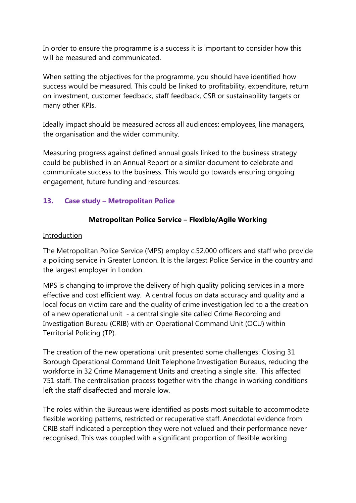In order to ensure the programme is a success it is important to consider how this will be measured and communicated.

When setting the objectives for the programme, you should have identified how success would be measured. This could be linked to profitability, expenditure, return on investment, customer feedback, staff feedback, CSR or sustainability targets or many other KPIs.

Ideally impact should be measured across all audiences: employees, line managers, the organisation and the wider community.

Measuring progress against defined annual goals linked to the business strategy could be published in an Annual Report or a similar document to celebrate and communicate success to the business. This would go towards ensuring ongoing engagement, future funding and resources.

# **13. Case study – Metropolitan Police**

# **Metropolitan Police Service – Flexible/Agile Working**

#### Introduction

The Metropolitan Police Service (MPS) employ c.52,000 officers and staff who provide a policing service in Greater London. It is the largest Police Service in the country and the largest employer in London.

MPS is changing to improve the delivery of high quality policing services in a more effective and cost efficient way. A central focus on data accuracy and quality and a local focus on victim care and the quality of crime investigation led to a the creation of a new operational unit - a central single site called Crime Recording and Investigation Bureau (CRIB) with an Operational Command Unit (OCU) within Territorial Policing (TP).

The creation of the new operational unit presented some challenges: Closing 31 Borough Operational Command Unit Telephone Investigation Bureaus, reducing the workforce in 32 Crime Management Units and creating a single site. This affected 751 staff. The centralisation process together with the change in working conditions left the staff disaffected and morale low.

The roles within the Bureaus were identified as posts most suitable to accommodate flexible working patterns, restricted or recuperative staff. Anecdotal evidence from CRIB staff indicated a perception they were not valued and their performance never recognised. This was coupled with a significant proportion of flexible working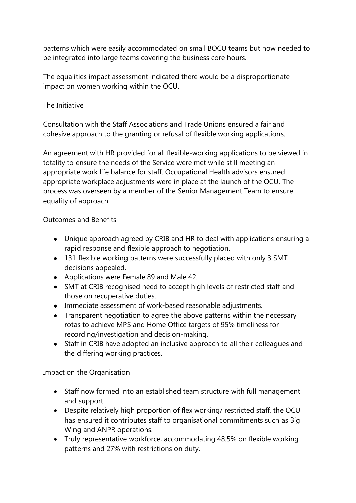patterns which were easily accommodated on small BOCU teams but now needed to be integrated into large teams covering the business core hours.

The equalities impact assessment indicated there would be a disproportionate impact on women working within the OCU.

# The Initiative

Consultation with the Staff Associations and Trade Unions ensured a fair and cohesive approach to the granting or refusal of flexible working applications.

An agreement with HR provided for all flexible-working applications to be viewed in totality to ensure the needs of the Service were met while still meeting an appropriate work life balance for staff. Occupational Health advisors ensured appropriate workplace adjustments were in place at the launch of the OCU. The process was overseen by a member of the Senior Management Team to ensure equality of approach.

# Outcomes and Benefits

- Unique approach agreed by CRIB and HR to deal with applications ensuring a rapid response and flexible approach to negotiation.
- 131 flexible working patterns were successfully placed with only 3 SMT decisions appealed.
- Applications were Female 89 and Male 42.
- SMT at CRIB recognised need to accept high levels of restricted staff and those on recuperative duties.
- Immediate assessment of work-based reasonable adjustments.
- Transparent negotiation to agree the above patterns within the necessary rotas to achieve MPS and Home Office targets of 95% timeliness for recording/investigation and decision-making.
- Staff in CRIB have adopted an inclusive approach to all their colleagues and the differing working practices.

#### Impact on the Organisation

- Staff now formed into an established team structure with full management and support.
- Despite relatively high proportion of flex working/ restricted staff, the OCU has ensured it contributes staff to organisational commitments such as Big Wing and ANPR operations.
- Truly representative workforce, accommodating 48.5% on flexible working patterns and 27% with restrictions on duty.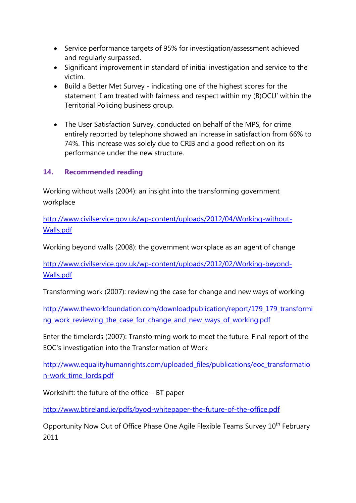- Service performance targets of 95% for investigation/assessment achieved and regularly surpassed.
- Significant improvement in standard of initial investigation and service to the victim.
- Build a Better Met Survey indicating one of the highest scores for the statement 'I am treated with fairness and respect within my (B)OCU' within the Territorial Policing business group.
- The User Satisfaction Survey, conducted on behalf of the MPS, for crime entirely reported by telephone showed an increase in satisfaction from 66% to 74%. This increase was solely due to CRIB and a good reflection on its performance under the new structure.

# **14. Recommended reading**

Working without walls (2004): an insight into the transforming government workplace

[http://www.civilservice.gov.uk/wp-content/uploads/2012/04/Working-without-](http://www.civilservice.gov.uk/wp-content/uploads/2012/04/Working-without-Walls.pdf)[Walls.pdf](http://www.civilservice.gov.uk/wp-content/uploads/2012/04/Working-without-Walls.pdf)

Working beyond walls (2008): the government workplace as an agent of change

[http://www.civilservice.gov.uk/wp-content/uploads/2012/02/Working-beyond-](http://www.civilservice.gov.uk/wp-content/uploads/2012/02/Working-beyond-Walls.pdf)[Walls.pdf](http://www.civilservice.gov.uk/wp-content/uploads/2012/02/Working-beyond-Walls.pdf)

Transforming work (2007): reviewing the case for change and new ways of working

[http://www.theworkfoundation.com/downloadpublication/report/179\\_179\\_transformi](http://www.theworkfoundation.com/downloadpublication/report/179_179_transforming_work_reviewing_the_case_for_change_and_new_ways_of_working.pdf) [ng\\_work\\_reviewing\\_the\\_case\\_for\\_change\\_and\\_new\\_ways\\_of\\_working.pdf](http://www.theworkfoundation.com/downloadpublication/report/179_179_transforming_work_reviewing_the_case_for_change_and_new_ways_of_working.pdf)

Enter the timelords (2007): Transforming work to meet the future. Final report of the EOC's investigation into the Transformation of Work

[http://www.equalityhumanrights.com/uploaded\\_files/publications/eoc\\_transformatio](http://www.equalityhumanrights.com/uploaded_files/publications/eoc_transformation-work_time_lords.pdf) [n-work\\_time\\_lords.pdf](http://www.equalityhumanrights.com/uploaded_files/publications/eoc_transformation-work_time_lords.pdf)

Workshift: the future of the office – BT paper

<http://www.btireland.ie/pdfs/byod-whitepaper-the-future-of-the-office.pdf>

Opportunity Now Out of Office Phase One Agile Flexible Teams Survey 10<sup>th</sup> February 2011